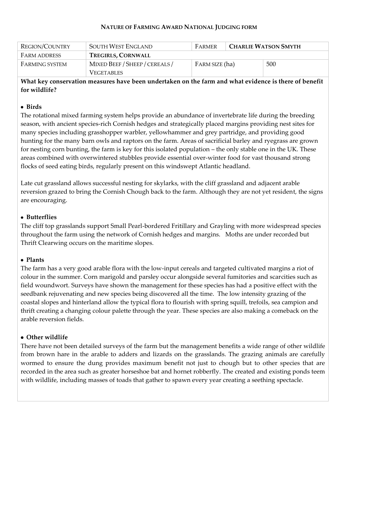#### **NATURE OF FARMING AWARD NATIONAL JUDGING FORM**

| <b>REGION/COUNTRY</b> | SOUTH WEST ENGLAND                                  | FARMER         | <b>CHARLIE WATSON SMYTH</b> |     |
|-----------------------|-----------------------------------------------------|----------------|-----------------------------|-----|
| <b>FARM ADDRESS</b>   | <b>TREGIRLS, CORNWALL</b>                           |                |                             |     |
| FARMING SYSTEM        | MIXED BEEF / SHEEP / CEREALS /<br><b>VEGETABLES</b> | FARM SIZE (ha) |                             | 500 |

**What key conservation measures have been undertaken on the farm and what evidence is there of benefit for wildlife?**

### **Birds**

The rotational mixed farming system helps provide an abundance of invertebrate life during the breeding season, with ancient species-rich Cornish hedges and strategically placed margins providing nest sites for many species including grasshopper warbler, yellowhammer and grey partridge, and providing good hunting for the many barn owls and raptors on the farm. Areas of sacrificial barley and ryegrass are grown for nesting corn bunting, the farm is key for this isolated population – the only stable one in the UK. These areas combined with overwintered stubbles provide essential over-winter food for vast thousand strong flocks of seed eating birds, regularly present on this windswept Atlantic headland.

Late cut grassland allows successful nesting for skylarks, with the cliff grassland and adjacent arable reversion grazed to bring the Cornish Chough back to the farm. Although they are not yet resident, the signs are encouraging.

## **Butterflies**

The cliff top grasslands support Small Pearl-bordered Fritillary and Grayling with more widespread species throughout the farm using the network of Cornish hedges and margins. Moths are under recorded but Thrift Clearwing occurs on the maritime slopes.

### **Plants**

The farm has a very good arable flora with the low-input cereals and targeted cultivated margins a riot of colour in the summer. Corn marigold and parsley occur alongside several fumitories and scarcities such as field woundwort. Surveys have shown the management for these species has had a positive effect with the seedbank rejuvenating and new species being discovered all the time. The low intensity grazing of the coastal slopes and hinterland allow the typical flora to flourish with spring squill, trefoils, sea campion and thrift creating a changing colour palette through the year. These species are also making a comeback on the arable reversion fields.

# **Other wildlife**

There have not been detailed surveys of the farm but the management benefits a wide range of other wildlife from brown hare in the arable to adders and lizards on the grasslands. The grazing animals are carefully wormed to ensure the dung provides maximum benefit not just to chough but to other species that are recorded in the area such as greater horseshoe bat and hornet robberfly. The created and existing ponds teem with wildlife, including masses of toads that gather to spawn every year creating a seething spectacle.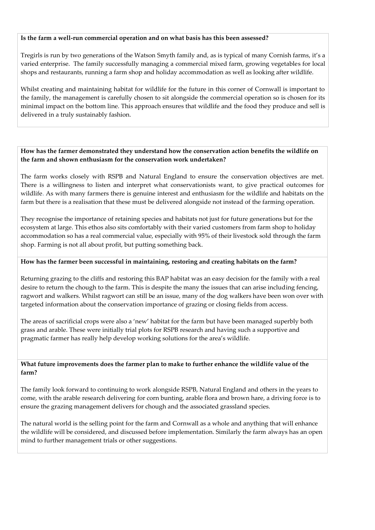### **Is the farm a well-run commercial operation and on what basis has this been assessed?**

Tregirls is run by two generations of the Watson Smyth family and, as is typical of many Cornish farms, it's a varied enterprise. The family successfully managing a commercial mixed farm, growing vegetables for local shops and restaurants, running a farm shop and holiday accommodation as well as looking after wildlife.

Whilst creating and maintaining habitat for wildlife for the future in this corner of Cornwall is important to the family, the management is carefully chosen to sit alongside the commercial operation so is chosen for its minimal impact on the bottom line. This approach ensures that wildlife and the food they produce and sell is delivered in a truly sustainably fashion.

# **How has the farmer demonstrated they understand how the conservation action benefits the wildlife on the farm and shown enthusiasm for the conservation work undertaken?**

The farm works closely with RSPB and Natural England to ensure the conservation objectives are met. There is a willingness to listen and interpret what conservationists want, to give practical outcomes for wildlife. As with many farmers there is genuine interest and enthusiasm for the wildlife and habitats on the farm but there is a realisation that these must be delivered alongside not instead of the farming operation.

They recognise the importance of retaining species and habitats not just for future generations but for the ecosystem at large. This ethos also sits comfortably with their varied customers from farm shop to holiday accommodation so has a real commercial value, especially with 95% of their livestock sold through the farm shop. Farming is not all about profit, but putting something back.

#### **How has the farmer been successful in maintaining, restoring and creating habitats on the farm?**

Returning grazing to the cliffs and restoring this BAP habitat was an easy decision for the family with a real desire to return the chough to the farm. This is despite the many the issues that can arise including fencing, ragwort and walkers. Whilst ragwort can still be an issue, many of the dog walkers have been won over with targeted information about the conservation importance of grazing or closing fields from access.

The areas of sacrificial crops were also a 'new' habitat for the farm but have been managed superbly both grass and arable. These were initially trial plots for RSPB research and having such a supportive and pragmatic farmer has really help develop working solutions for the area's wildlife.

## **What future improvements does the farmer plan to make to further enhance the wildlife value of the farm?**

The family look forward to continuing to work alongside RSPB, Natural England and others in the years to come, with the arable research delivering for corn bunting, arable flora and brown hare, a driving force is to ensure the grazing management delivers for chough and the associated grassland species.

The natural world is the selling point for the farm and Cornwall as a whole and anything that will enhance the wildlife will be considered, and discussed before implementation. Similarly the farm always has an open mind to further management trials or other suggestions.